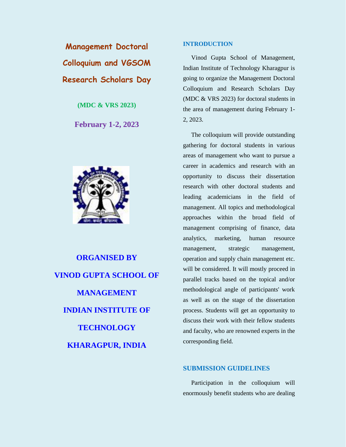**Management Doctoral Colloquium and VGSOM Research Scholars Day** 

**(MDC & VRS 2023)**

**February 1-2, 2023**



**ORGANISED BY VINOD GUPTA SCHOOL OF MANAGEMENT INDIAN INSTITUTE OF TECHNOLOGY KHARAGPUR, INDIA**

### **INTRODUCTION**

Vinod Gupta School of Management, Indian Institute of Technology Kharagpur is going to organize the Management Doctoral Colloquium and Research Scholars Day (MDC & VRS 2023) for doctoral students in the area of management during February 1- 2, 2023.

The colloquium will provide outstanding gathering for doctoral students in various areas of management who want to pursue a career in academics and research with an opportunity to discuss their dissertation research with other doctoral students and leading academicians in the field of management. All topics and methodological approaches within the broad field of management comprising of finance, data analytics, marketing, human resource management, strategic management, operation and supply chain management etc. will be considered. It will mostly proceed in parallel tracks based on the topical and/or methodological angle of participants' work as well as on the stage of the dissertation process. Students will get an opportunity to discuss their work with their fellow students and faculty, who are renowned experts in the corresponding field.

## **SUBMISSION GUIDELINES**

Participation in the colloquium will enormously benefit students who are dealing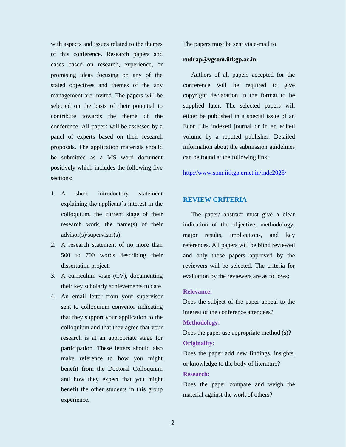with aspects and issues related to the themes of this conference. Research papers and cases based on research, experience, or promising ideas focusing on any of the stated objectives and themes of the any management are invited. The papers will be selected on the basis of their potential to contribute towards the theme of the conference. All papers will be assessed by a panel of experts based on their research proposals. The application materials should be submitted as a MS word document positively which includes the following five sections:

- 1. A short introductory statement explaining the applicant's interest in the colloquium, the current stage of their research work, the name(s) of their advisor(s)/supervisor(s).
- 2. A research statement of no more than 500 to 700 words describing their dissertation project.
- 3. A curriculum vitae (CV), documenting their key scholarly achievements to date.
- 4. An email letter from your supervisor sent to colloquium convenor indicating that they support your application to the colloquium and that they agree that your research is at an appropriate stage for participation. These letters should also make reference to how you might benefit from the Doctoral Colloquium and how they expect that you might benefit the other students in this group experience.

The papers must be sent via e-mail to

#### **rudrap@vgsom.iitkgp.ac.in**

Authors of all papers accepted for the conference will be required to give copyright declaration in the format to be supplied later. The selected papers will either be published in a special issue of an Econ Lit- indexed journal or in an edited volume by a reputed publisher. Detailed information about the submission guidelines can be found at the following link:

<http://www.som.iitkgp.ernet.in/mdc2023/>

#### **REVIEW CRITERIA**

The paper/ abstract must give a clear indication of the objective, methodology, major results, implications, and key references. All papers will be blind reviewed and only those papers approved by the reviewers will be selected. The criteria for evaluation by the reviewers are as follows:

#### **Relevance:**

Does the subject of the paper appeal to the interest of the conference attendees?

#### **Methodology:**

Does the paper use appropriate method (s)? **Originality:** 

Does the paper add new findings, insights, or knowledge to the body of literature? **Research:** 

Does the paper compare and weigh the material against the work of others?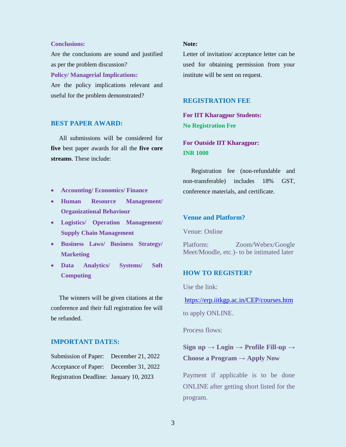#### **Conclusions:**

Are the conclusions are sound and justified as per the problem discussion? **Policy/ Managerial Implications:** Are the policy implications relevant and useful for the problem demonstrated?

#### **BEST PAPER AWARD:**

All submissions will be considered for **five** best paper awards for all the **five core streams**. These include:

- **Accounting/ Economics/ Finance**
- **Human Resource Management/ Organizational Behaviour**
- **Logistics/ Operation Management/ Supply Chain Management**
- **Business Laws/ Business Strategy/ Marketing**
- **Data Analytics/ Systems/ Soft Computing**

The winners will be given citations at the conference and their full registration fee will be refunded.

# **IMPORTANT DATES:**

| Submission of Paper: December 21, 2022  |  |
|-----------------------------------------|--|
| Acceptance of Paper: December 31, 2022  |  |
| Registration Deadline: January 10, 2023 |  |

#### **Note:**

Letter of invitation/ acceptance letter can be used for obtaining permission from your institute will be sent on request.

#### **REGISTRATION FEE**

**For IIT Kharagpur Students: No Registration Fee**

**For Outside IIT Kharagpur: INR 1000**

Registration fee (non-refundable and non-transferable) includes 18% GST, conference materials, and certificate.

# **Venue and Platform?**

Venue: Online

Platform: Zoom/Webex/Google Meet/Moodle, etc.)- to be intimated later

#### **HOW TO REGISTER?**

Use the link:

<https://erp.iitkgp.ac.in/CEP/courses.htm>

to apply ONLINE.

Process flows:

# **Sign up** → **Login** → **Profile Fill-up** → **Choose a Program** → **Apply Now**

Payment if applicable is to be done ONLINE after getting short listed for the program.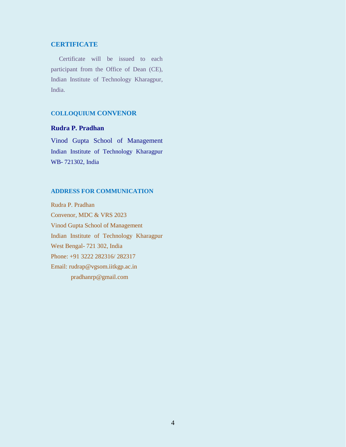# **CERTIFICATE**

Certificate will be issued to each participant from the Office of Dean (CE), Indian Institute of Technology Kharagpur, India.

# **COLLOQUIUM CONVENOR**

# **Rudra P. Pradhan**

Vinod Gupta School of Management Indian Institute of Technology Kharagpur WB- 721302, India

### **ADDRESS FOR COMMUNICATION**

Rudra P. Pradhan Convenor, MDC & VRS 2023 Vinod Gupta School of Management Indian Institute of Technology Kharagpur West Bengal- 721 302, India Phone: +91 3222 282316/ 282317 Email: rudrap@vgsom.iitkgp.ac.in pradhanrp@gmail.com